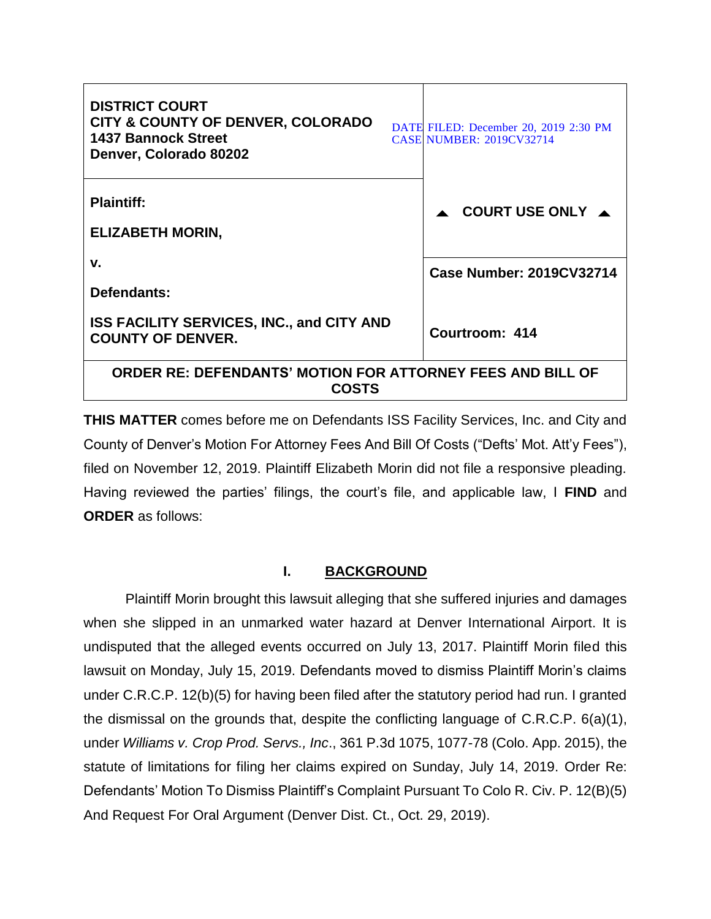| <b>DISTRICT COURT</b><br><b>CITY &amp; COUNTY OF DENVER, COLORADO</b><br><b>1437 Bannock Street</b><br>Denver, Colorado 80202 |  | DATE FILED: December 20, 2019 2:30 PM<br><b>CASE NUMBER: 2019CV32714</b> |
|-------------------------------------------------------------------------------------------------------------------------------|--|--------------------------------------------------------------------------|
| <b>Plaintiff:</b><br><b>ELIZABETH MORIN,</b>                                                                                  |  | COURT USE ONLY $\blacktriangle$                                          |
| v.                                                                                                                            |  | <b>Case Number: 2019CV32714</b>                                          |
| Defendants:                                                                                                                   |  |                                                                          |
| <b>ISS FACILITY SERVICES, INC., and CITY AND</b><br><b>COUNTY OF DENVER.</b>                                                  |  | Courtroom: 414                                                           |
| ORDER RE: DEFENDANTS' MOTION FOR ATTORNEY FEES AND BILL OF<br><b>COSTS</b>                                                    |  |                                                                          |

**THIS MATTER** comes before me on Defendants ISS Facility Services, Inc. and City and County of Denver's Motion For Attorney Fees And Bill Of Costs ("Defts' Mot. Att'y Fees"), filed on November 12, 2019. Plaintiff Elizabeth Morin did not file a responsive pleading. Having reviewed the parties' filings, the court's file, and applicable law, I **FIND** and **ORDER** as follows:

## **I. BACKGROUND**

Plaintiff Morin brought this lawsuit alleging that she suffered injuries and damages when she slipped in an unmarked water hazard at Denver International Airport. It is undisputed that the alleged events occurred on July 13, 2017. Plaintiff Morin filed this lawsuit on Monday, July 15, 2019. Defendants moved to dismiss Plaintiff Morin's claims under C.R.C.P. 12(b)(5) for having been filed after the statutory period had run. I granted the dismissal on the grounds that, despite the conflicting language of C.R.C.P. 6(a)(1), under *Williams v. Crop Prod. Servs., Inc*., 361 P.3d 1075, 1077-78 (Colo. App. 2015), the statute of limitations for filing her claims expired on Sunday, July 14, 2019. Order Re: Defendants' Motion To Dismiss Plaintiff's Complaint Pursuant To Colo R. Civ. P. 12(B)(5) And Request For Oral Argument (Denver Dist. Ct., Oct. 29, 2019).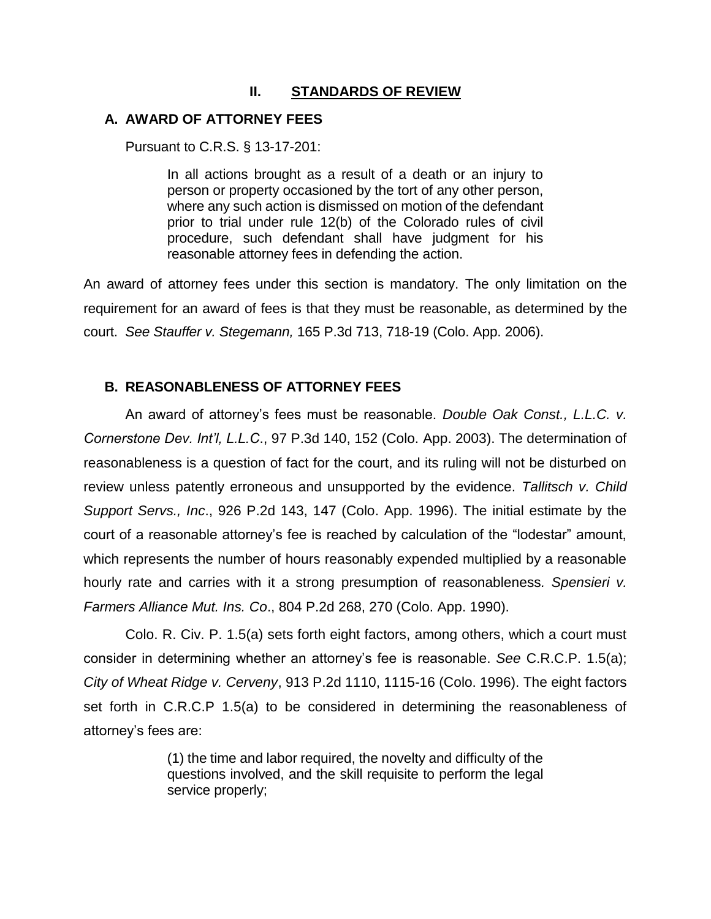## **II. STANDARDS OF REVIEW**

## **A. AWARD OF ATTORNEY FEES**

Pursuant to C.R.S. § 13-17-201:

In all actions brought as a result of a death or an injury to person or property occasioned by the tort of any other person, where any such action is dismissed on motion of the defendant prior to trial under rule 12(b) of the Colorado rules of civil procedure, such defendant shall have judgment for his reasonable attorney fees in defending the action.

An award of attorney fees under this section is mandatory. The only limitation on the requirement for an award of fees is that they must be reasonable, as determined by the court. *See Stauffer v. Stegemann,* 165 P.3d 713, 718-19 (Colo. App. 2006).

## **B. REASONABLENESS OF ATTORNEY FEES**

An award of attorney's fees must be reasonable. *Double Oak Const., L.L.C. v. Cornerstone Dev. Int'l, L.L.C*., 97 P.3d 140, 152 (Colo. App. 2003). The determination of reasonableness is a question of fact for the court, and its ruling will not be disturbed on review unless patently erroneous and unsupported by the evidence. *Tallitsch v. Child Support Servs., Inc*., 926 P.2d 143, 147 (Colo. App. 1996). The initial estimate by the court of a reasonable attorney's fee is reached by calculation of the "lodestar" amount, which represents the number of hours reasonably expended multiplied by a reasonable hourly rate and carries with it a strong presumption of reasonableness*. Spensieri v. Farmers Alliance Mut. Ins. Co*., 804 P.2d 268, 270 (Colo. App. 1990).

Colo. R. Civ. P. 1.5(a) sets forth eight factors, among others, which a court must consider in determining whether an attorney's fee is reasonable. *See* C.R.C.P. 1.5(a); *City of Wheat Ridge v. Cerveny*, 913 P.2d 1110, 1115-16 (Colo. 1996). The eight factors set forth in C.R.C.P 1.5(a) to be considered in determining the reasonableness of attorney's fees are:

> (1) the time and labor required, the novelty and difficulty of the questions involved, and the skill requisite to perform the legal service properly;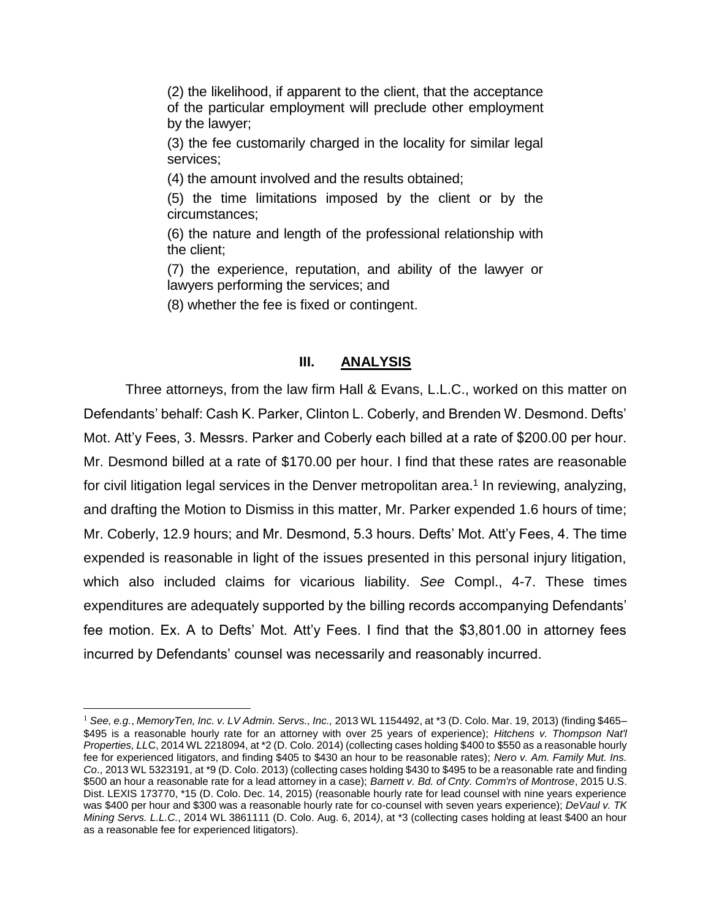(2) the likelihood, if apparent to the client, that the acceptance of the particular employment will preclude other employment by the lawyer;

(3) the fee customarily charged in the locality for similar legal services;

(4) the amount involved and the results obtained;

(5) the time limitations imposed by the client or by the circumstances;

(6) the nature and length of the professional relationship with the client;

(7) the experience, reputation, and ability of the lawyer or lawyers performing the services; and

(8) whether the fee is fixed or contingent.

### **III. ANALYSIS**

Three attorneys, from the law firm Hall & Evans, L.L.C., worked on this matter on Defendants' behalf: Cash K. Parker, Clinton L. Coberly, and Brenden W. Desmond. Defts' Mot. Att'y Fees, 3. Messrs. Parker and Coberly each billed at a rate of \$200.00 per hour. Mr. Desmond billed at a rate of \$170.00 per hour. I find that these rates are reasonable for civil litigation legal services in the Denver metropolitan area.<sup>1</sup> In reviewing, analyzing, and drafting the Motion to Dismiss in this matter, Mr. Parker expended 1.6 hours of time; Mr. Coberly, 12.9 hours; and Mr. Desmond, 5.3 hours. Defts' Mot. Att'y Fees, 4. The time expended is reasonable in light of the issues presented in this personal injury litigation, which also included claims for vicarious liability. *See* Compl., 4-7. These times expenditures are adequately supported by the billing records accompanying Defendants' fee motion. Ex. A to Defts' Mot. Att'y Fees. I find that the \$3,801.00 in attorney fees incurred by Defendants' counsel was necessarily and reasonably incurred.

 $\overline{a}$ 

<sup>1</sup> *See, e.g.*, *MemoryTen, Inc. v. LV Admin. Servs., Inc.,* 2013 WL 1154492, at \*3 (D. Colo. Mar. 19, 2013) (finding \$465– \$495 is a reasonable hourly rate for an attorney with over 25 years of experience); *Hitchens v. Thompson Nat'l Properties, LL*C, 2014 WL 2218094, at \*2 (D. Colo. 2014) (collecting cases holding \$400 to \$550 as a reasonable hourly fee for experienced litigators, and finding \$405 to \$430 an hour to be reasonable rates); *Nero v. Am. Family Mut. Ins. Co*., 2013 WL 5323191, at \*9 (D. Colo. 2013) (collecting cases holding \$430 to \$495 to be a reasonable rate and finding \$500 an hour a reasonable rate for a lead attorney in a case); *Barnett v. Bd. of Cnty. Comm'rs of Montrose*, 2015 U.S. Dist. LEXIS 173770, \*15 (D. Colo. Dec. 14, 2015) (reasonable hourly rate for lead counsel with nine years experience was \$400 per hour and \$300 was a reasonable hourly rate for co-counsel with seven years experience); *DeVaul v. TK Mining Servs. L.L.C.*, 2014 WL 3861111 (D. Colo. Aug. 6, 2014*)*, at \*3 (collecting cases holding at least \$400 an hour as a reasonable fee for experienced litigators).